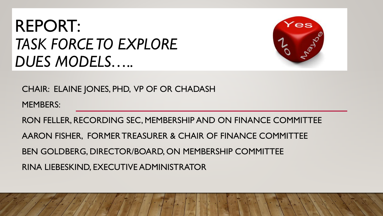## REPORT: *TASK FORCE TO EXPLORE DUES MODELS…..*



CHAIR: ELAINE JONES, PHD, VP OF OR CHADASH

MEMBERS:

RON FELLER, RECORDING SEC, MEMBERSHIP AND ON FINANCE COMMITTEE

AARON FISHER, FORMER TREASURER & CHAIR OF FINANCE COMMITTEE

BEN GOLDBERG, DIRECTOR/BOARD, ON MEMBERSHIP COMMITTEE

RINA LIEBESKIND, EXECUTIVE ADMINISTRATOR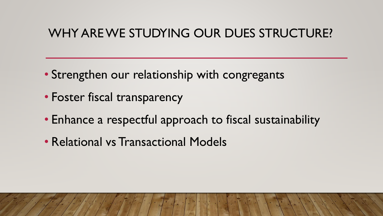#### WHY ARE WE STUDYING OUR DUES STRUCTURE?

- Strengthen our relationship with congregants
- Foster fiscal transparency
- Enhance a respectful approach to fiscal sustainability
- Relational vs Transactional Models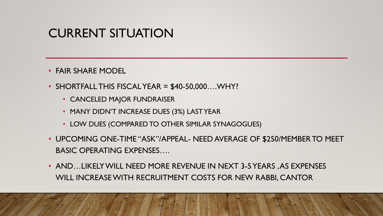#### CURRENT SITUATION

- FAIR SHARE MODEL
- $\bullet$  SHORTFALL THIS FISCAL YEAR = \$40-50,000.... WHY?
	- CANCELED MAJOR FUNDRAISER
	- MANY DIDN'T INCREASE DUES (3%) LAST YEAR
	- LOW DUES (COMPARED TO OTHER SIMILAR SYNAGOGUES)
- UPCOMING ONE-TIME "ASK"/APPEAL- NEED AVERAGE OF \$250/MEMBER TO MEET BASIC OPERATING EXPENSES….
- AND…LIKELY WILL NEED MORE REVENUE IN NEXT 3-5 YEARS , AS EXPENSES WILL INCREASE WITH RECRUITMENT COSTS FOR NEW RABBI, CANTOR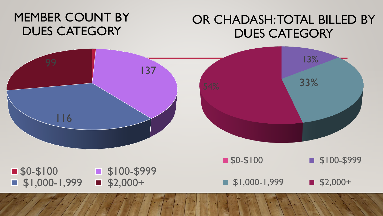#### MEMBER COUNT BY DUES CATEGORY

#### OR CHADASH: TOTAL BILLED BY DUES CATEGORY

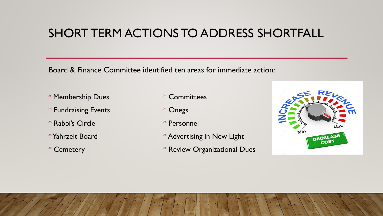#### SHORT TERM ACTIONS TO ADDRESS SHORTFALL

Board & Finance Committee identified ten areas for immediate action:

- \* Membership Dues \* Committees
- \* Fundraising Events \* \* Onegs
- \* Rabbi's Circle \* Personnel
- 
- 
- 
- 
- 
- \* Yahrzeit Board \* \* Advertising in New Light
- \* Cemetery **\* Review Organizational Dues**

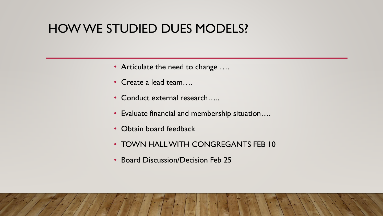#### HOW WE STUDIED DUES MODELS?

- Articulate the need to change ....
- Create a lead team….
- Conduct external research…..
- Evaluate financial and membership situation….
- Obtain board feedback
- TOWN HALL WITH CONGREGANTS FEB 10
- Board Discussion/Decision Feb 25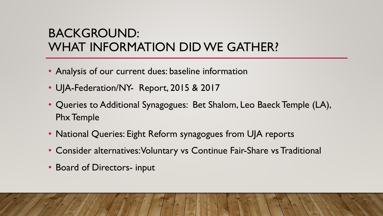### BACKGROUND: WHAT INFORMATION DID WE GATHER?

- Analysis of our current dues: baseline information
- UJA-Federation/NY- Report, 2015 & 2017
- Queries to Additional Synagogues: Bet Shalom, Leo Baeck Temple (LA), Phx Temple
- National Queries: Eight Reform synagogues from UJA reports
- Consider alternatives: Voluntary vs Continue Fair-Share vs Traditional
- Board of Directors- input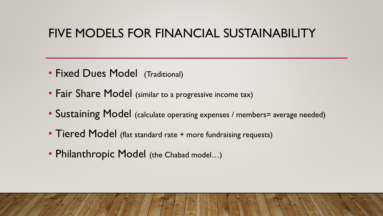#### FIVE MODELS FOR FINANCIAL SUSTAINABILITY

- Fixed Dues Model (Traditional)
- Fair Share Model (similar to a progressive income tax)
- Sustaining Model (calculate operating expenses / members= average needed)
- Tiered Model (flat standard rate + more fundraising requests)
- Philanthropic Model (the Chabad model...)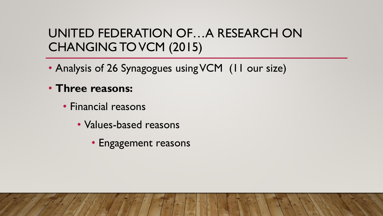### UNITED FEDERATION OF…A RESEARCH ON CHANGING TO VCM (2015)

- Analysis of 26 Synagogues using VCM (11 our size)
- **Three reasons:** 
	- Financial reasons
		- Values-based reasons
			- Engagement reasons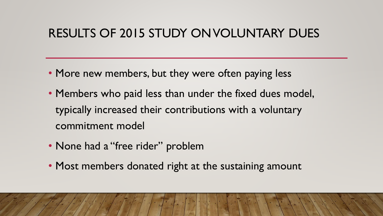#### RESULTS OF 2015 STUDY ON VOLUNTARY DUES

- More new members, but they were often paying less
- Members who paid less than under the fixed dues model, typically increased their contributions with a voluntary commitment model
- None had a "free rider" problem
- Most members donated right at the sustaining amount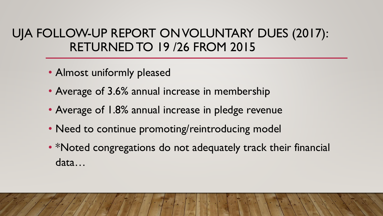#### UJA FOLLOW-UP REPORT ON VOLUNTARY DUES (2017): RETURNED TO 19 /26 FROM 2015

- Almost uniformly pleased
- Average of 3.6% annual increase in membership
- Average of 1.8% annual increase in pledge revenue
- Need to continue promoting/reintroducing model
- \*Noted congregations do not adequately track their financial data…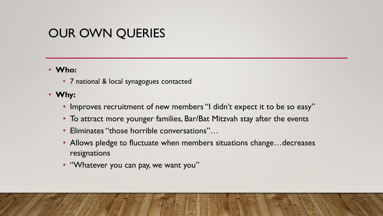#### OUR OWN QUERIES

#### • **Who:**

• 7 national & local synagogues contacted

#### • **Why:**

- Improves recruitment of new members "I didn't expect it to be so easy"
- To attract more younger families, Bar/Bat Mitzvah stay after the events
- Eliminates "those horrible conversations"…
- Allows pledge to fluctuate when members situations change...decreases resignations
- "Whatever you can pay, we want you"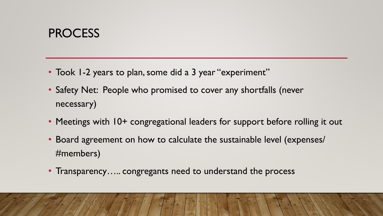#### **PROCESS**

- Took 1-2 years to plan, some did a 3 year "experiment"
- Safety Net: People who promised to cover any shortfalls (never necessary)
- Meetings with 10+ congregational leaders for support before rolling it out
- Board agreement on how to calculate the sustainable level (expenses/ #members)
- Transparency..... congregants need to understand the process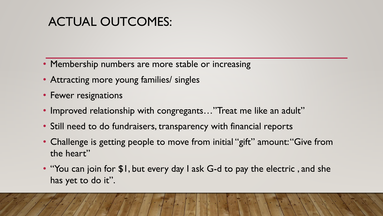### ACTUAL OUTCOMES:

- Membership numbers are more stable or increasing
- Attracting more young families/ singles
- Fewer resignations
- Improved relationship with congregants..."Treat me like an adult"
- Still need to do fundraisers, transparency with financial reports
- Challenge is getting people to move from initial "gift" amount: "Give from the heart"
- "You can join for \$1, but every day I ask G-d to pay the electric, and she has yet to do it".